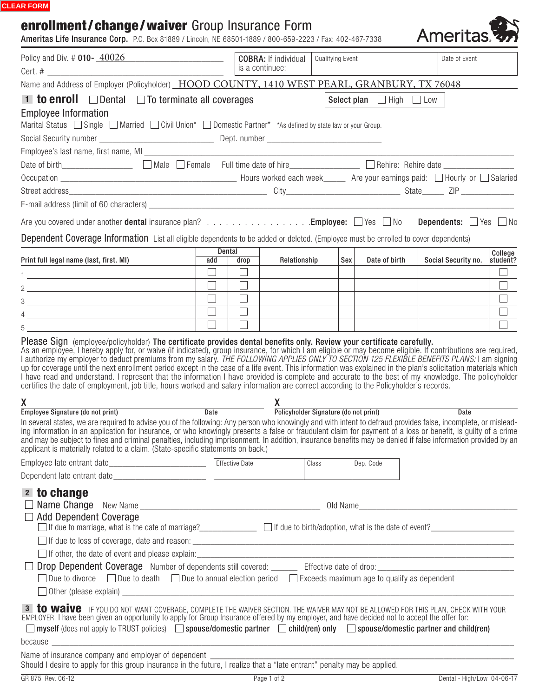#### **CLEAR FORM**

# enrollment/change/waiver Group Insurance Form

Ameritas Life Insurance Corp. P.O. Box 81889 / Lincoln, NE 68501-1889 / 800-659-2223 / Fax: 402-467-7338

| Policy and Div. # 010- 40026                                                                                                                                                                                                                                                                                                                                                                                                                                                                                                                                                         |                                                                                                |        | Qualifying Event<br><b>COBRA:</b> If individual<br>is a continuee: |       |                                    | Date of Event                   |  |
|--------------------------------------------------------------------------------------------------------------------------------------------------------------------------------------------------------------------------------------------------------------------------------------------------------------------------------------------------------------------------------------------------------------------------------------------------------------------------------------------------------------------------------------------------------------------------------------|------------------------------------------------------------------------------------------------|--------|--------------------------------------------------------------------|-------|------------------------------------|---------------------------------|--|
|                                                                                                                                                                                                                                                                                                                                                                                                                                                                                                                                                                                      |                                                                                                |        |                                                                    |       |                                    |                                 |  |
| Name and Address of Employer (Policyholder) HOOD COUNTY, 1410 WEST PEARL, GRANBURY, TX 76048                                                                                                                                                                                                                                                                                                                                                                                                                                                                                         |                                                                                                |        |                                                                    |       |                                    |                                 |  |
| <b>1 to enroll</b> $\Box$ Dental $\Box$ To terminate all coverages                                                                                                                                                                                                                                                                                                                                                                                                                                                                                                                   |                                                                                                |        |                                                                    |       | Select plan $\Box$ High $\Box$ Low |                                 |  |
| <b>Employee Information</b>                                                                                                                                                                                                                                                                                                                                                                                                                                                                                                                                                          |                                                                                                |        |                                                                    |       |                                    |                                 |  |
| Marital Status $\Box$ Single $\Box$ Married $\Box$ Civil Union* $\Box$ Domestic Partner* *As defined by state law or your Group.                                                                                                                                                                                                                                                                                                                                                                                                                                                     |                                                                                                |        |                                                                    |       |                                    |                                 |  |
|                                                                                                                                                                                                                                                                                                                                                                                                                                                                                                                                                                                      |                                                                                                |        |                                                                    |       |                                    |                                 |  |
|                                                                                                                                                                                                                                                                                                                                                                                                                                                                                                                                                                                      |                                                                                                |        |                                                                    |       |                                    |                                 |  |
|                                                                                                                                                                                                                                                                                                                                                                                                                                                                                                                                                                                      |                                                                                                |        |                                                                    |       |                                    |                                 |  |
|                                                                                                                                                                                                                                                                                                                                                                                                                                                                                                                                                                                      |                                                                                                |        |                                                                    |       |                                    |                                 |  |
|                                                                                                                                                                                                                                                                                                                                                                                                                                                                                                                                                                                      |                                                                                                |        |                                                                    |       |                                    |                                 |  |
|                                                                                                                                                                                                                                                                                                                                                                                                                                                                                                                                                                                      |                                                                                                |        |                                                                    |       |                                    |                                 |  |
| Are you covered under another dental insurance plan? Employee: Nes No Dependents: Nes No                                                                                                                                                                                                                                                                                                                                                                                                                                                                                             |                                                                                                |        |                                                                    |       |                                    |                                 |  |
| Dependent Coverage Information List all eligible dependents to be added or deleted. (Employee must be enrolled to cover dependents)                                                                                                                                                                                                                                                                                                                                                                                                                                                  |                                                                                                |        |                                                                    |       |                                    |                                 |  |
|                                                                                                                                                                                                                                                                                                                                                                                                                                                                                                                                                                                      | Dental                                                                                         |        |                                                                    |       |                                    | College                         |  |
| Print full legal name (last, first. MI)                                                                                                                                                                                                                                                                                                                                                                                                                                                                                                                                              | add                                                                                            | drop   | Relationship                                                       |       | Sex<br>Date of birth               | Social Security no.<br>student? |  |
| 1 <u>______________________________</u>                                                                                                                                                                                                                                                                                                                                                                                                                                                                                                                                              | $\Box$                                                                                         | $\Box$ |                                                                    |       |                                    |                                 |  |
|                                                                                                                                                                                                                                                                                                                                                                                                                                                                                                                                                                                      | $\Box$                                                                                         | $\Box$ |                                                                    |       |                                    |                                 |  |
|                                                                                                                                                                                                                                                                                                                                                                                                                                                                                                                                                                                      | $\Box$                                                                                         | $\Box$ |                                                                    |       |                                    |                                 |  |
| $\frac{1}{2}$ $\frac{1}{2}$ $\frac{1}{2}$ $\frac{1}{2}$ $\frac{1}{2}$ $\frac{1}{2}$ $\frac{1}{2}$ $\frac{1}{2}$ $\frac{1}{2}$ $\frac{1}{2}$ $\frac{1}{2}$ $\frac{1}{2}$ $\frac{1}{2}$ $\frac{1}{2}$ $\frac{1}{2}$ $\frac{1}{2}$ $\frac{1}{2}$ $\frac{1}{2}$ $\frac{1}{2}$ $\frac{1}{2}$ $\frac{1}{2}$ $\frac{1}{2}$                                                                                                                                                                                                                                                                  | $\Box$                                                                                         | $\Box$ |                                                                    |       |                                    |                                 |  |
|                                                                                                                                                                                                                                                                                                                                                                                                                                                                                                                                                                                      |                                                                                                |        |                                                                    |       |                                    |                                 |  |
| certifies the date of employment, job title, hours worked and salary information are correct according to the Policyholder's records.                                                                                                                                                                                                                                                                                                                                                                                                                                                |                                                                                                |        |                                                                    |       |                                    |                                 |  |
|                                                                                                                                                                                                                                                                                                                                                                                                                                                                                                                                                                                      | X<br>Employee Signature (do not print) Date Date Policyholder Signature (do not print)<br>Date |        |                                                                    |       |                                    |                                 |  |
| In several states, we are required to advise you of the following: Any person who knowingly and with intent to defraud provides false, incomplete, or mislead-<br>ing information in an application for insurance, or who knowingly presents a false or fraudulent claim for payment of a loss or benefit, is guilty of a crime<br>and may be subject to fines and criminal penalties, including imprisonment. In addition, insurance benefits may be denied if false information provided by an<br>applicant is materially related to a claim. (State-specific statements on back.) |                                                                                                |        |                                                                    |       |                                    |                                 |  |
|                                                                                                                                                                                                                                                                                                                                                                                                                                                                                                                                                                                      |                                                                                                |        |                                                                    | Class | Dep. Code                          |                                 |  |
|                                                                                                                                                                                                                                                                                                                                                                                                                                                                                                                                                                                      |                                                                                                |        |                                                                    |       |                                    |                                 |  |
| 2 to change                                                                                                                                                                                                                                                                                                                                                                                                                                                                                                                                                                          |                                                                                                |        |                                                                    |       |                                    |                                 |  |
|                                                                                                                                                                                                                                                                                                                                                                                                                                                                                                                                                                                      |                                                                                                |        |                                                                    |       |                                    |                                 |  |
| <b>Add Dependent Coverage</b><br>□ If due to marriage, what is the date of marriage?<br>□ If due to birth/adoption, what is the date is the date of marriage?<br>□ If due to birth/adoption, what is the date of event?<br>□                                                                                                                                                                                                                                                                                                                                                         |                                                                                                |        |                                                                    |       |                                    |                                 |  |
|                                                                                                                                                                                                                                                                                                                                                                                                                                                                                                                                                                                      |                                                                                                |        |                                                                    |       |                                    |                                 |  |
|                                                                                                                                                                                                                                                                                                                                                                                                                                                                                                                                                                                      |                                                                                                |        |                                                                    |       |                                    |                                 |  |
|                                                                                                                                                                                                                                                                                                                                                                                                                                                                                                                                                                                      |                                                                                                |        |                                                                    |       |                                    |                                 |  |
| Due to divorce $\Box$ Due to death $\Box$ Due to annual election period $\Box$ Exceeds maximum age to qualify as dependent                                                                                                                                                                                                                                                                                                                                                                                                                                                           |                                                                                                |        |                                                                    |       |                                    |                                 |  |
|                                                                                                                                                                                                                                                                                                                                                                                                                                                                                                                                                                                      |                                                                                                |        |                                                                    |       |                                    |                                 |  |
| 3 to waive IF YOU DO NOT WANT COVERAGE, COMPLETE THE WAIVER SECTION. THE WAIVER MAY NOT BE ALLOWED FOR THIS PLAN, CHECK WITH YOUR<br>EMPLOYER. I have been given an opportunity to apply for Group Insurance offered by my employer, and have decided not to accept the offer for:<br>$\Box$ myself (does not apply to TRUST policies) $\Box$ spouse/domestic partner $\Box$ child(ren) only $\Box$ spouse/domestic partner and child(ren)                                                                                                                                           |                                                                                                |        |                                                                    |       |                                    |                                 |  |
| because <u>the community of the community of the community of the community of the community of the community of the community of the community of the community of the community of the community of the community of the commu</u>                                                                                                                                                                                                                                                                                                                                                 |                                                                                                |        |                                                                    |       |                                    |                                 |  |
| Name of insurance company and employer of dependent ____________________________                                                                                                                                                                                                                                                                                                                                                                                                                                                                                                     |                                                                                                |        |                                                                    |       |                                    |                                 |  |
| GR 875 Rev. 06-12                                                                                                                                                                                                                                                                                                                                                                                                                                                                                                                                                                    | Page 1 of 2                                                                                    |        |                                                                    |       |                                    | Dental - High/Low 04-06-17      |  |

Ameritas<sup>1</sup>